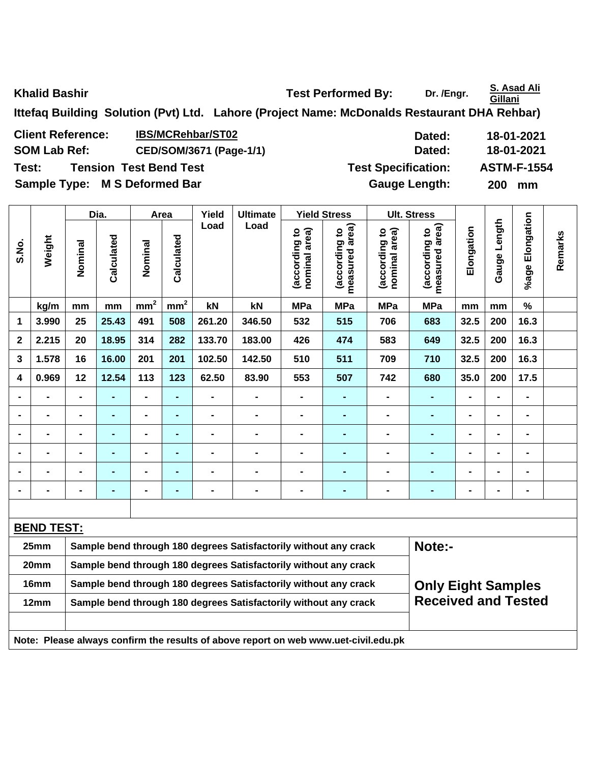**Khalid Bashir Conserverse Exercise 2 and Test Performed By:** Dr. /Engr. **S. Asad Ali <br>
<b>Khalid Bashir Cillani** 

**Ittefaq Building Solution (Pvt) Ltd. Lahore (Project Name: McDonalds Restaurant DHA Rehbar)** 

Client Reference: IBS/MCRehbar/ST02 **Dated:** 18-01-2021 SOM Lab Ref: CED/SOM/3671 (Page-1/1) Dated: 18-01-2021 **Test: Tension Test Bend Test Test Specification: ASTM-F-1554** 

Sample Type: M S Deformed Bar **Gauge Length:** 200 mm

|                         |                                                                          |                                                                  | Dia.           |                 | Area                     | Yield<br>Load  | <b>Ultimate</b>                                                                     |                                | <b>Yield Stress</b>             |                                | <b>Ult. Stress</b>              |                |              |                 |         |
|-------------------------|--------------------------------------------------------------------------|------------------------------------------------------------------|----------------|-----------------|--------------------------|----------------|-------------------------------------------------------------------------------------|--------------------------------|---------------------------------|--------------------------------|---------------------------------|----------------|--------------|-----------------|---------|
| S.No.                   | Weight                                                                   | Nominal                                                          | Calculated     | Nominal         | Calculated               |                | Load                                                                                | nominal area)<br>(according to | (according to<br>measured area) | nominal area)<br>(according to | measured area)<br>(according to | Elongation     | Gauge Length | %age Elongation | Remarks |
|                         | kg/m                                                                     | mm                                                               | mm             | mm <sup>2</sup> | mm <sup>2</sup>          | kN             | kN                                                                                  | <b>MPa</b>                     | <b>MPa</b>                      | <b>MPa</b>                     | <b>MPa</b>                      | mm             | mm           | $\%$            |         |
| 1                       | 3.990                                                                    | 25                                                               | 25.43          | 491             | 508                      | 261.20         | 346.50                                                                              | 532                            | 515                             | 706                            | 683                             | 32.5           | 200          | 16.3            |         |
| $\mathbf 2$             | 2.215                                                                    | 20                                                               | 18.95          | 314             | 282                      | 133.70         | 183.00                                                                              | 426                            | 474                             | 583                            | 649                             | 32.5           | 200          | 16.3            |         |
| 3                       | 1.578                                                                    | 16                                                               | 16.00          | 201             | 201                      | 102.50         | 142.50                                                                              | 510                            | 511                             | 709                            | 710                             | 32.5           | 200          | 16.3            |         |
| $\overline{\mathbf{4}}$ | 0.969                                                                    | 12                                                               | 12.54          | 113             | 123                      | 62.50          | 83.90                                                                               | 553                            | 507                             | 742                            | 680                             | 35.0           | 200          | 17.5            |         |
| $\blacksquare$          | $\blacksquare$                                                           | $\qquad \qquad \blacksquare$                                     | ۰              | $\blacksquare$  | $\overline{\phantom{a}}$ |                | $\blacksquare$                                                                      | $\blacksquare$                 | $\blacksquare$                  | -                              | $\blacksquare$                  | $\blacksquare$ |              | $\blacksquare$  |         |
| $\blacksquare$          |                                                                          | $\blacksquare$                                                   | $\blacksquare$ | $\blacksquare$  | $\blacksquare$           | $\blacksquare$ | $\blacksquare$                                                                      | $\blacksquare$                 | $\blacksquare$                  | $\blacksquare$                 | $\blacksquare$                  |                |              | $\blacksquare$  |         |
| $\blacksquare$          |                                                                          | $\blacksquare$                                                   | $\blacksquare$ | $\blacksquare$  |                          |                | $\blacksquare$                                                                      | $\blacksquare$                 | $\blacksquare$                  | $\blacksquare$                 | $\blacksquare$                  |                |              |                 |         |
| $\blacksquare$          |                                                                          | $\blacksquare$                                                   | $\blacksquare$ | $\blacksquare$  |                          |                |                                                                                     | $\blacksquare$                 |                                 | $\blacksquare$                 |                                 |                |              | $\blacksquare$  |         |
| $\blacksquare$          |                                                                          | $\blacksquare$                                                   | $\blacksquare$ | $\blacksquare$  |                          |                | $\blacksquare$                                                                      | $\blacksquare$                 |                                 | $\blacksquare$                 | $\blacksquare$                  | $\blacksquare$ |              | $\blacksquare$  |         |
| $\blacksquare$          |                                                                          | $\blacksquare$                                                   | $\blacksquare$ | $\blacksquare$  | $\blacksquare$           |                | $\blacksquare$                                                                      | $\blacksquare$                 | $\blacksquare$                  | $\blacksquare$                 | $\blacksquare$                  | $\blacksquare$ |              | $\blacksquare$  |         |
|                         |                                                                          |                                                                  |                |                 |                          |                |                                                                                     |                                |                                 |                                |                                 |                |              |                 |         |
|                         | <b>BEND TEST:</b>                                                        |                                                                  |                |                 |                          |                |                                                                                     |                                |                                 |                                |                                 |                |              |                 |         |
|                         | 25mm                                                                     |                                                                  |                |                 |                          |                | Sample bend through 180 degrees Satisfactorily without any crack                    |                                |                                 |                                | Note:-                          |                |              |                 |         |
|                         | 20mm                                                                     |                                                                  |                |                 |                          |                | Sample bend through 180 degrees Satisfactorily without any crack                    |                                |                                 |                                |                                 |                |              |                 |         |
|                         | 16mm                                                                     | Sample bend through 180 degrees Satisfactorily without any crack |                |                 |                          |                |                                                                                     |                                |                                 |                                | <b>Only Eight Samples</b>       |                |              |                 |         |
|                         | Sample bend through 180 degrees Satisfactorily without any crack<br>12mm |                                                                  |                |                 |                          |                |                                                                                     |                                |                                 |                                | <b>Received and Tested</b>      |                |              |                 |         |
|                         |                                                                          |                                                                  |                |                 |                          |                |                                                                                     |                                |                                 |                                |                                 |                |              |                 |         |
|                         |                                                                          |                                                                  |                |                 |                          |                | Note: Please always confirm the results of above report on web www.uet-civil.edu.pk |                                |                                 |                                |                                 |                |              |                 |         |

**Gillani**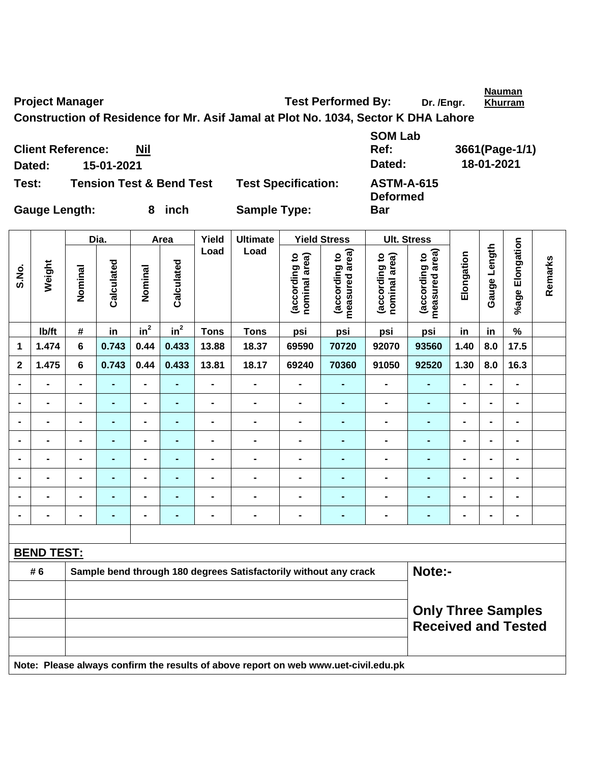Project Manager **Test Performed By:** Dr. /Engr. **Nauman Khurram**

**Construction of Residence for Mr. Asif Jamal at Plot No. 1034, Sector K DHA Lahore** 

|        | <b>Client Reference:</b><br>Nil     |                            | Ref:                                 | 3661(Page-1 |
|--------|-------------------------------------|----------------------------|--------------------------------------|-------------|
| Dated: | 15-01-2021                          |                            | Dated:                               | 18-01-2021  |
| Test:  | <b>Tension Test &amp; Bend Test</b> | <b>Test Specification:</b> | <b>ASTM-A-615</b><br><b>Deformed</b> |             |

**SOM Lab Ref: 3661(Page-1/1) Pest Specification: ASTM-A-615 Deformed** 

**Bar** 

┯

Gauge Length: 8 inch Sample Type:

|                |                   |                                                                                     | Dia.           |                 | Area           | Yield          | <b>Ultimate</b>                                                  |                                | <b>Yield Stress</b>             |                                | <b>Ult. Stress</b>              |                |                              |                 |         |
|----------------|-------------------|-------------------------------------------------------------------------------------|----------------|-----------------|----------------|----------------|------------------------------------------------------------------|--------------------------------|---------------------------------|--------------------------------|---------------------------------|----------------|------------------------------|-----------------|---------|
| S.No.          | Weight            | Nominal                                                                             | Calculated     | Nominal         | Calculated     | Load           | Load                                                             | (according to<br>nominal area) | measured area)<br>(according to | nominal area)<br>(according to | measured area)<br>(according to | Elongation     | Gauge Length                 | %age Elongation | Remarks |
|                | lb/ft             | #                                                                                   | in             | in <sup>2</sup> | $in^2$         | <b>Tons</b>    | <b>Tons</b>                                                      | psi                            | psi                             | psi                            | psi                             | in             | in                           | $\%$            |         |
| 1              | 1.474             | 6                                                                                   | 0.743          | 0.44            | 0.433          | 13.88          | 18.37                                                            | 69590                          | 70720                           | 92070                          | 93560                           | 1.40           | 8.0                          | 17.5            |         |
| $\mathbf{2}$   | 1.475             | 6                                                                                   | 0.743          | 0.44            | 0.433          | 13.81          | 18.17                                                            | 69240                          | 70360                           | 91050                          | 92520                           | 1.30           | 8.0                          | 16.3            |         |
|                | $\blacksquare$    | $\blacksquare$                                                                      | $\blacksquare$ | $\blacksquare$  | ٠              | $\blacksquare$ | $\blacksquare$                                                   | $\qquad \qquad \blacksquare$   | $\blacksquare$                  | $\qquad \qquad \blacksquare$   | $\blacksquare$                  | $\blacksquare$ | $\qquad \qquad \blacksquare$ | $\blacksquare$  |         |
| $\blacksquare$ | $\blacksquare$    | $\blacksquare$                                                                      | $\blacksquare$ | $\blacksquare$  | ٠              | $\blacksquare$ | $\blacksquare$                                                   | $\blacksquare$                 | $\blacksquare$                  | $\blacksquare$                 | $\blacksquare$                  | $\blacksquare$ | $\blacksquare$               | $\blacksquare$  |         |
|                | $\blacksquare$    | $\blacksquare$                                                                      | $\blacksquare$ | $\blacksquare$  | $\blacksquare$ |                | $\blacksquare$                                                   | $\blacksquare$                 | $\blacksquare$                  | $\blacksquare$                 | $\blacksquare$                  | $\blacksquare$ | $\blacksquare$               | $\blacksquare$  |         |
|                |                   |                                                                                     |                | $\blacksquare$  |                |                | -                                                                | $\blacksquare$                 |                                 | $\blacksquare$                 |                                 | $\blacksquare$ | $\blacksquare$               | -               |         |
| $\blacksquare$ | -                 | $\blacksquare$                                                                      | ۰              | $\blacksquare$  | $\blacksquare$ | $\blacksquare$ | -                                                                | $\blacksquare$                 |                                 | $\blacksquare$                 | $\blacksquare$                  | $\blacksquare$ | $\blacksquare$               | $\blacksquare$  |         |
|                | $\blacksquare$    | $\blacksquare$                                                                      | $\blacksquare$ | $\blacksquare$  |                |                | -                                                                | $\blacksquare$                 | $\blacksquare$                  | $\blacksquare$                 | $\blacksquare$                  | $\blacksquare$ | $\blacksquare$               | $\blacksquare$  |         |
|                | $\blacksquare$    | $\blacksquare$                                                                      | $\blacksquare$ | $\blacksquare$  | $\blacksquare$ | $\blacksquare$ | -                                                                | $\blacksquare$                 | $\blacksquare$                  | $\blacksquare$                 | $\blacksquare$                  | $\blacksquare$ | $\blacksquare$               | $\blacksquare$  |         |
|                | $\blacksquare$    | -                                                                                   | $\blacksquare$ | $\blacksquare$  | ٠              |                | $\blacksquare$                                                   | $\blacksquare$                 | -                               | $\blacksquare$                 | $\blacksquare$                  | $\blacksquare$ | $\blacksquare$               | $\blacksquare$  |         |
|                |                   |                                                                                     |                |                 |                |                |                                                                  |                                |                                 |                                |                                 |                |                              |                 |         |
|                | <b>BEND TEST:</b> |                                                                                     |                |                 |                |                |                                                                  |                                |                                 |                                |                                 |                |                              |                 |         |
|                | # 6               |                                                                                     |                |                 |                |                | Sample bend through 180 degrees Satisfactorily without any crack |                                |                                 |                                | Note:-                          |                |                              |                 |         |
|                |                   |                                                                                     |                |                 |                |                |                                                                  |                                |                                 |                                |                                 |                |                              |                 |         |
|                |                   | <b>Only Three Samples</b><br><b>Received and Tested</b>                             |                |                 |                |                |                                                                  |                                |                                 |                                |                                 |                |                              |                 |         |
|                |                   | Note: Please always confirm the results of above report on web www.uet-civil.edu.pk |                |                 |                |                |                                                                  |                                |                                 |                                |                                 |                |                              |                 |         |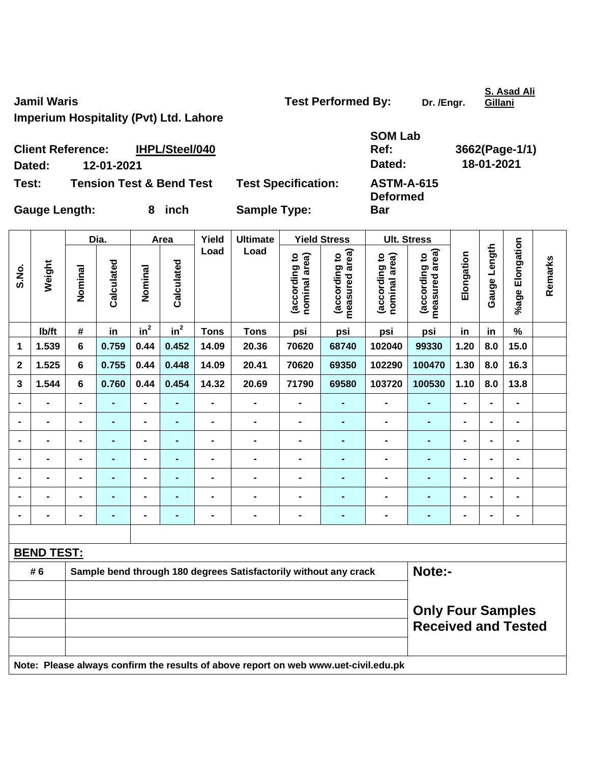**Jamil Waris Community Community Community Community Test Performed By:** Dr. /Engr.

**S. Asad Ali** 

**Imperium Hospitality (Pvt) Ltd. Lahore** 

| <b>Test Performed By:</b> |  |
|---------------------------|--|
|---------------------------|--|

**Gillani**

| Dated:               | <b>Client Reference:</b><br>12-01-2021 | IHPL/Steel/040                      |                            | <b>SOM Lab</b><br>Ref:<br>Dated: | 3662(Page-1/1)<br>18-01-2021 |  |  |
|----------------------|----------------------------------------|-------------------------------------|----------------------------|----------------------------------|------------------------------|--|--|
| Test:                |                                        | <b>Tension Test &amp; Bend Test</b> | <b>Test Specification:</b> | <b>ASTM-A-615</b>                |                              |  |  |
| <b>Gauge Length:</b> |                                        | inch                                | <b>Sample Type:</b>        | <b>Deformed</b><br><b>Bar</b>    |                              |  |  |

|                |                          |                                                                                     | Dia.           |                              | Area           | Yield                        | <b>Ultimate</b>                                                  |                                | <b>Yield Stress</b>             | <b>Ult. Stress</b>             |                                                        |                |                |                 |         |
|----------------|--------------------------|-------------------------------------------------------------------------------------|----------------|------------------------------|----------------|------------------------------|------------------------------------------------------------------|--------------------------------|---------------------------------|--------------------------------|--------------------------------------------------------|----------------|----------------|-----------------|---------|
| S.No.          | Weight                   | Nominal                                                                             | Calculated     | Nominal                      | Calculated     | Load                         | Load                                                             | (according to<br>nominal area) | measured area)<br>(according to | (according to<br>nominal area) | measured area)<br>(according to                        | Elongation     | Gauge Length   | %age Elongation | Remarks |
|                | lb/ft                    | #                                                                                   | in             | in <sup>2</sup>              | $in^2$         | <b>Tons</b>                  | <b>Tons</b>                                                      | psi                            | psi                             | psi                            | psi                                                    | in             | in             | $\%$            |         |
| 1              | 1.539                    | $6\phantom{1}$                                                                      | 0.759          | 0.44                         | 0.452          | 14.09                        | 20.36                                                            | 70620                          | 68740                           | 102040                         | 99330                                                  | 1.20           | 8.0            | 15.0            |         |
| $\mathbf 2$    | 1.525                    | $6\phantom{1}$                                                                      | 0.755          | 0.44                         | 0.448          | 14.09                        | 20.41                                                            | 70620                          | 69350                           | 102290                         | 100470                                                 | 1.30           | 8.0            | 16.3            |         |
| 3              | 1.544                    | 6                                                                                   | 0.760          | 0.44                         | 0.454          | 14.32                        | 20.69                                                            | 71790                          | 69580                           | 103720                         | 100530                                                 | 1.10           | 8.0            | 13.8            |         |
|                | $\overline{\phantom{0}}$ | $\blacksquare$                                                                      | ÷,             | $\qquad \qquad \blacksquare$ | ٠              | $\qquad \qquad \blacksquare$ | $\blacksquare$                                                   | $\blacksquare$                 | Ξ.                              | $\blacksquare$                 | $\blacksquare$                                         | $\blacksquare$ | $\blacksquare$ | $\blacksquare$  |         |
| $\blacksquare$ | $\blacksquare$           | $\blacksquare$                                                                      | $\blacksquare$ | $\qquad \qquad \blacksquare$ | $\blacksquare$ | $\qquad \qquad \blacksquare$ | $\blacksquare$                                                   | $\blacksquare$                 | $\blacksquare$                  | $\blacksquare$                 | $\blacksquare$                                         | $\blacksquare$ | $\blacksquare$ | $\blacksquare$  |         |
|                | $\blacksquare$           | $\blacksquare$                                                                      | ÷,             | $\blacksquare$               | ٠              | $\qquad \qquad \blacksquare$ | $\blacksquare$                                                   | $\blacksquare$                 | ä,                              | $\blacksquare$                 | ٠                                                      | $\blacksquare$ |                | $\blacksquare$  |         |
|                | $\overline{\phantom{0}}$ | $\blacksquare$                                                                      | ٠              | $\qquad \qquad \blacksquare$ | ٠              | $\blacksquare$               | $\blacksquare$                                                   | -                              | Ξ.                              | -                              | ٠                                                      | $\blacksquare$ | $\blacksquare$ | $\blacksquare$  |         |
|                | $\blacksquare$           |                                                                                     | $\blacksquare$ | $\blacksquare$               |                | $\blacksquare$               | $\blacksquare$                                                   | $\blacksquare$                 | $\blacksquare$                  | $\blacksquare$                 | $\blacksquare$                                         | $\blacksquare$ |                | $\blacksquare$  |         |
|                |                          |                                                                                     |                | $\blacksquare$               |                |                              |                                                                  |                                |                                 |                                |                                                        |                |                | $\blacksquare$  |         |
|                | $\blacksquare$           |                                                                                     |                | $\blacksquare$               | $\blacksquare$ | $\blacksquare$               | $\blacksquare$                                                   | $\blacksquare$                 | -                               | $\blacksquare$                 | ٠                                                      | $\blacksquare$ |                | $\blacksquare$  |         |
|                |                          |                                                                                     |                |                              |                |                              |                                                                  |                                |                                 |                                |                                                        |                |                |                 |         |
|                | <b>BEND TEST:</b>        |                                                                                     |                |                              |                |                              |                                                                  |                                |                                 |                                |                                                        |                |                |                 |         |
|                | #6                       |                                                                                     |                |                              |                |                              | Sample bend through 180 degrees Satisfactorily without any crack |                                |                                 |                                | Note:-                                                 |                |                |                 |         |
|                |                          |                                                                                     |                |                              |                |                              |                                                                  |                                |                                 |                                |                                                        |                |                |                 |         |
|                |                          |                                                                                     |                |                              |                |                              |                                                                  |                                |                                 |                                | <b>Only Four Samples</b><br><b>Received and Tested</b> |                |                |                 |         |
|                |                          | Note: Please always confirm the results of above report on web www.uet-civil.edu.pk |                |                              |                |                              |                                                                  |                                |                                 |                                |                                                        |                |                |                 |         |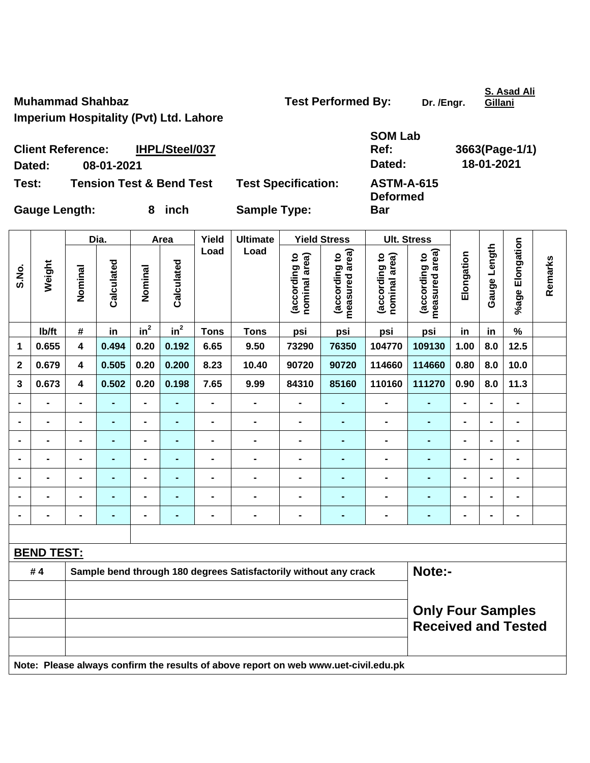**Muhammad Shahbaz Constrained By:** Dr. /Engr. **Dr. /Engr. Dr. /Engr.** 

**S. Asad Ali** 

**Ref: 3663(Page-1/1)** 

**Imperium Hospitality (Pvt) Ltd. Lahore** 

| <b>Test Performed By:</b> |  |
|---------------------------|--|
|---------------------------|--|

**Gillani**

|        | IHPL/Steel/037<br><b>Client Reference:</b> |                            | <b>SOM Lab</b><br>Ref:               | 3663(Page-1 |
|--------|--------------------------------------------|----------------------------|--------------------------------------|-------------|
| Dated: | 08-01-2021                                 |                            | Dated:                               | 18-01-2021  |
| Test:  | <b>Tension Test &amp; Bend Test</b>        | <b>Test Specification:</b> | <b>ASTM-A-615</b><br><b>Deformed</b> |             |

Gauge Length: 8 inch Sample Type:

**Test: Tension Test & Bend Test Test Specification: ASTM-A-615 Deformed Bar** 

**SOM Lab** 

|                |                   |                         | Dia.                                                                                |                | Area            | Yield                        | <b>Ultimate</b>                                                  |                                | <b>Yield Stress</b>             |                                | <b>Ult. Stress</b>                                     |                |                |                 |         |
|----------------|-------------------|-------------------------|-------------------------------------------------------------------------------------|----------------|-----------------|------------------------------|------------------------------------------------------------------|--------------------------------|---------------------------------|--------------------------------|--------------------------------------------------------|----------------|----------------|-----------------|---------|
| S.No.          | Weight            | Nominal                 | Calculated                                                                          | Nominal        | Calculated      | Load                         | Load                                                             | (according to<br>nominal area) | (according to<br>measured area) | nominal area)<br>(according to | measured area)<br>(according to                        | Elongation     | Gauge Length   | %age Elongation | Remarks |
|                | Ib/ft             | $\#$                    | in                                                                                  | $in^2$         | in <sup>2</sup> | <b>Tons</b>                  | <b>Tons</b>                                                      | psi                            | psi                             | psi                            | psi                                                    | in             | in             | $\%$            |         |
| 1              | 0.655             | $\overline{\mathbf{4}}$ | 0.494                                                                               | 0.20           | 0.192           | 6.65                         | 9.50                                                             | 73290                          | 76350                           | 104770                         | 109130                                                 | 1.00           | 8.0            | 12.5            |         |
| $\mathbf{2}$   | 0.679             | $\overline{\mathbf{4}}$ | 0.505                                                                               | 0.20           | 0.200           | 8.23                         | 10.40                                                            | 90720                          | 90720                           | 114660                         | 114660                                                 | 0.80           | 8.0            | 10.0            |         |
| 3              | 0.673             | $\overline{\mathbf{4}}$ | 0.502                                                                               | 0.20           | 0.198           | 7.65                         | 9.99                                                             | 84310                          | 85160                           | 110160                         | 111270                                                 | 0.90           | 8.0            | 11.3            |         |
| $\blacksquare$ | $\blacksquare$    | -                       | $\blacksquare$                                                                      | $\blacksquare$ | $\blacksquare$  | $\qquad \qquad \blacksquare$ | $\qquad \qquad \blacksquare$                                     | $\blacksquare$                 | $\blacksquare$                  | $\blacksquare$                 | $\blacksquare$                                         | $\blacksquare$ | $\blacksquare$ | $\blacksquare$  |         |
| $\blacksquare$ | $\blacksquare$    | -                       | ٠                                                                                   | $\blacksquare$ | $\blacksquare$  | $\overline{a}$               | $\blacksquare$                                                   | $\blacksquare$                 | $\blacksquare$                  | $\blacksquare$                 | ÷,                                                     | $\blacksquare$ | $\blacksquare$ | $\blacksquare$  |         |
|                | $\blacksquare$    | -                       | $\blacksquare$                                                                      | $\blacksquare$ | $\blacksquare$  | $\qquad \qquad \blacksquare$ | $\blacksquare$                                                   | $\blacksquare$                 | $\blacksquare$                  | $\blacksquare$                 | ۰                                                      | $\blacksquare$ |                | $\blacksquare$  |         |
|                | $\blacksquare$    | $\blacksquare$          | $\blacksquare$                                                                      | $\blacksquare$ | $\blacksquare$  | $\blacksquare$               | $\blacksquare$                                                   | $\blacksquare$                 | $\blacksquare$                  | $\blacksquare$                 | L.                                                     | $\blacksquare$ |                | $\blacksquare$  |         |
|                |                   | $\blacksquare$          |                                                                                     | $\blacksquare$ |                 | $\blacksquare$               | $\blacksquare$                                                   | $\blacksquare$                 | $\blacksquare$                  | $\blacksquare$                 | ÷,                                                     | $\blacksquare$ |                | $\blacksquare$  |         |
|                | $\blacksquare$    |                         | $\blacksquare$                                                                      | $\blacksquare$ |                 | $\blacksquare$               | $\blacksquare$                                                   | $\blacksquare$                 | -                               | $\blacksquare$                 | ÷,                                                     | $\blacksquare$ |                | $\blacksquare$  |         |
|                |                   | $\blacksquare$          | $\blacksquare$                                                                      | $\blacksquare$ | $\blacksquare$  | $\blacksquare$               | $\blacksquare$                                                   | $\blacksquare$                 | $\blacksquare$                  | $\blacksquare$                 | $\blacksquare$                                         | $\blacksquare$ |                | $\blacksquare$  |         |
|                |                   |                         |                                                                                     |                |                 |                              |                                                                  |                                |                                 |                                |                                                        |                |                |                 |         |
|                | <b>BEND TEST:</b> |                         |                                                                                     |                |                 |                              |                                                                  |                                |                                 |                                |                                                        |                |                |                 |         |
|                | #4                |                         |                                                                                     |                |                 |                              | Sample bend through 180 degrees Satisfactorily without any crack |                                |                                 |                                | Note:-                                                 |                |                |                 |         |
|                |                   |                         |                                                                                     |                |                 |                              |                                                                  |                                |                                 |                                |                                                        |                |                |                 |         |
|                |                   |                         |                                                                                     |                |                 |                              |                                                                  |                                |                                 |                                | <b>Only Four Samples</b><br><b>Received and Tested</b> |                |                |                 |         |
|                |                   |                         | Note: Please always confirm the results of above report on web www.uet-civil.edu.pk |                |                 |                              |                                                                  |                                |                                 |                                |                                                        |                |                |                 |         |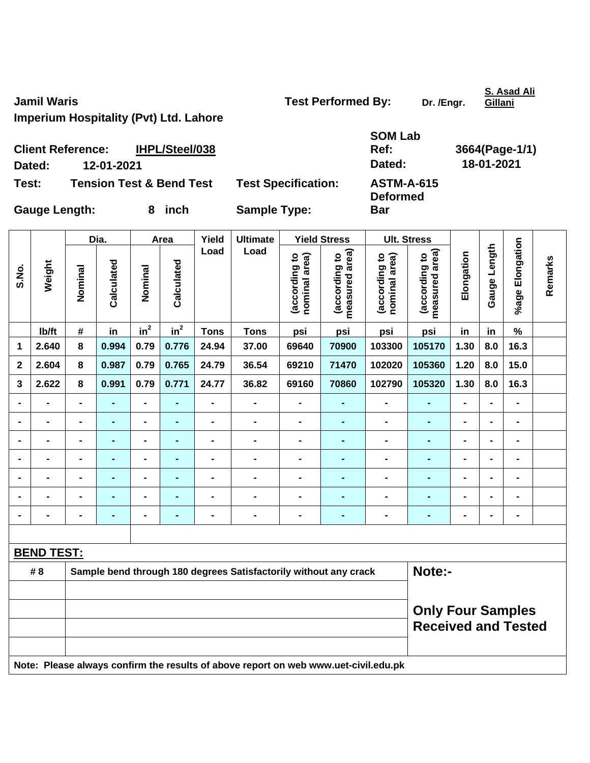**Jamil Waris Community Community Community Community Test Performed By:** Dr. /Engr.

**S. Asad Ali** 

**Ref: 3664(Page-1/1)** 

**Imperium Hospitality (Pvt) Ltd. Lahore** 

| <b>Test Performed By:</b> |  |
|---------------------------|--|
|---------------------------|--|

**Gillani**

| <b>Client Reference:</b> | IHPL/Steel/038                      |                            | <b>SOM Lab</b><br>Ref:               | 3664(Page-1 |
|--------------------------|-------------------------------------|----------------------------|--------------------------------------|-------------|
| 12-01-2021<br>Dated:     |                                     |                            | Dated:                               | 18-01-2021  |
| Test:                    | <b>Tension Test &amp; Bend Test</b> | <b>Test Specification:</b> | <b>ASTM-A-615</b><br><b>Deformed</b> |             |
| <b>Gauge Length:</b>     | inch                                | <b>Sample Type:</b>        | <b>Bar</b>                           |             |

|                |                   |                                                                                     | Dia.           |                              | Area           | Yield          | <b>Ultimate</b>                                                  |                                | <b>Yield Stress</b>             |                                | <b>Ult. Stress</b>                                     |                |                   |                              |         |
|----------------|-------------------|-------------------------------------------------------------------------------------|----------------|------------------------------|----------------|----------------|------------------------------------------------------------------|--------------------------------|---------------------------------|--------------------------------|--------------------------------------------------------|----------------|-------------------|------------------------------|---------|
| S.No.          | Weight            | Nominal                                                                             | Calculated     | Nominal                      | Calculated     | Load           | Load                                                             | (according to<br>nominal area) | measured area)<br>(according to | (according to<br>nominal area) | (according to<br>measured area)                        | Elongation     | Length<br>Gauge I | %age Elongation              | Remarks |
|                | Ib/ft             | $\#$                                                                                | in             | $in^2$                       | $in^2$         | <b>Tons</b>    | <b>Tons</b>                                                      | psi                            | psi                             | psi                            | psi                                                    | in             | in                | $\%$                         |         |
| $\mathbf 1$    | 2.640             | 8                                                                                   | 0.994          | 0.79                         | 0.776          | 24.94          | 37.00                                                            | 69640                          | 70900                           | 103300                         | 105170                                                 | 1.30           | 8.0               | 16.3                         |         |
| $\mathbf{2}$   | 2.604             | 8                                                                                   | 0.987          | 0.79                         | 0.765          | 24.79          | 36.54                                                            | 69210                          | 71470                           | 102020                         | 105360                                                 | 1.20           | 8.0               | 15.0                         |         |
| 3              | 2.622             | 8                                                                                   | 0.991          | 0.79                         | 0.771          | 24.77          | 36.82                                                            | 69160                          | 70860                           | 102790                         | 105320                                                 | 1.30           | 8.0               | 16.3                         |         |
|                | $\overline{a}$    | $\blacksquare$                                                                      | $\blacksquare$ | $\blacksquare$               |                | $\overline{a}$ | $\blacksquare$                                                   | $\blacksquare$                 | $\blacksquare$                  | $\blacksquare$                 | $\blacksquare$                                         | $\blacksquare$ |                   | $\blacksquare$               |         |
| $\blacksquare$ | $\blacksquare$    | $\blacksquare$                                                                      | $\blacksquare$ | $\blacksquare$               | $\blacksquare$ | $\blacksquare$ | $\blacksquare$                                                   | $\blacksquare$                 | $\blacksquare$                  | $\blacksquare$                 | $\blacksquare$                                         | ۰              | $\blacksquare$    | $\blacksquare$               |         |
|                | $\blacksquare$    |                                                                                     | $\blacksquare$ | $\qquad \qquad \blacksquare$ |                | $\blacksquare$ | $\blacksquare$                                                   | $\blacksquare$                 | $\blacksquare$                  | $\blacksquare$                 | $\blacksquare$                                         | ۰              |                   | $\blacksquare$               |         |
|                |                   |                                                                                     | $\blacksquare$ | $\blacksquare$               |                |                | $\blacksquare$                                                   | $\blacksquare$                 | $\blacksquare$                  | $\blacksquare$                 | $\blacksquare$                                         | $\blacksquare$ |                   | $\blacksquare$               |         |
|                |                   |                                                                                     |                | $\blacksquare$               |                |                |                                                                  |                                |                                 |                                |                                                        |                |                   |                              |         |
|                |                   |                                                                                     |                | $\blacksquare$               |                | $\blacksquare$ | $\blacksquare$                                                   | $\blacksquare$                 | $\blacksquare$                  | $\blacksquare$                 | Ē.                                                     | $\blacksquare$ |                   | $\blacksquare$               |         |
| $\blacksquare$ | $\blacksquare$    | $\blacksquare$                                                                      | $\blacksquare$ | $\blacksquare$               | $\blacksquare$ | -              | $\qquad \qquad \blacksquare$                                     | $\blacksquare$                 | $\blacksquare$                  | $\blacksquare$                 | ۰                                                      | $\blacksquare$ | $\blacksquare$    | $\qquad \qquad \blacksquare$ |         |
|                |                   |                                                                                     |                |                              |                |                |                                                                  |                                |                                 |                                |                                                        |                |                   |                              |         |
|                | <b>BEND TEST:</b> |                                                                                     |                |                              |                |                |                                                                  |                                |                                 |                                |                                                        |                |                   |                              |         |
|                | # 8               |                                                                                     |                |                              |                |                | Sample bend through 180 degrees Satisfactorily without any crack |                                |                                 |                                | Note:-                                                 |                |                   |                              |         |
|                |                   |                                                                                     |                |                              |                |                |                                                                  |                                |                                 |                                |                                                        |                |                   |                              |         |
|                |                   |                                                                                     |                |                              |                |                |                                                                  |                                |                                 |                                | <b>Only Four Samples</b><br><b>Received and Tested</b> |                |                   |                              |         |
|                |                   | Note: Please always confirm the results of above report on web www.uet-civil.edu.pk |                |                              |                |                |                                                                  |                                |                                 |                                |                                                        |                |                   |                              |         |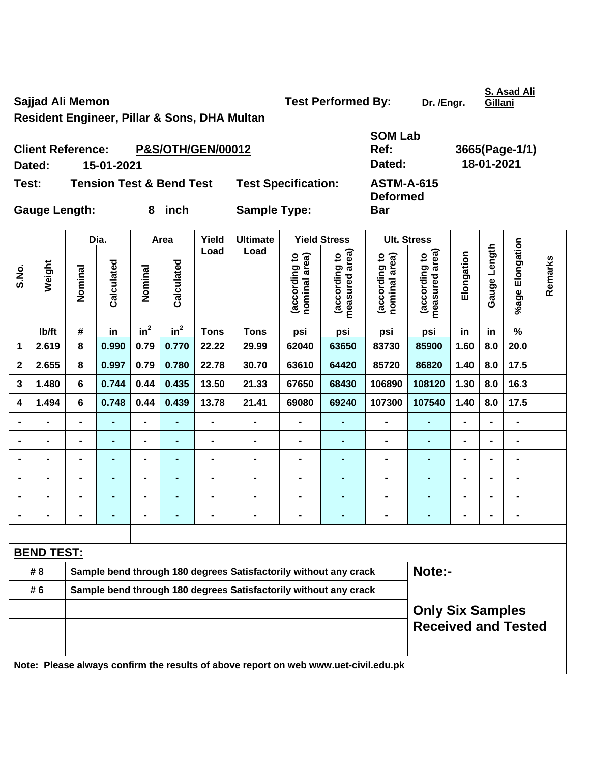**Resident Engineer, Pillar & Sons, DHA Multan** 

|                      | <b>Client Reference:</b> | <b>P&amp;S/OTH/GEN/00012</b>        |                            | Ref:                                 | 3665(Page-1 |  |
|----------------------|--------------------------|-------------------------------------|----------------------------|--------------------------------------|-------------|--|
| Dated:               | 15-01-2021               |                                     |                            | Dated:                               | 18-01-2021  |  |
| Test:                |                          | <b>Tension Test &amp; Bend Test</b> | <b>Test Specification:</b> | <b>ASTM-A-615</b><br><b>Deformed</b> |             |  |
| <b>Gauge Length:</b> |                          | inch                                | <b>Sample Type:</b>        | <b>Bar</b>                           |             |  |

Dia. | Area | Yield | Ultimate | Yield Stress | Ult. Stress **%age Elongation**  %age Elongation **Gauge Length Load Load**  (according to<br>measured area) Gauge Length **measured area) measured area)**  (according to<br>nominal area) (according to<br>measured area) (according to<br>nominal area) **Elongation nominal area) nominal area) (according to (according to (according to (according to**  Elongation **Remarks**  Remarks **Weight Calculated Calculated**  Calculated Calculated **S.No. Nominal Nominal**  Nominal Nominal  $\mathsf{lb}/\mathsf{ft}$  # in in<sup>2</sup>  $in^2$  **Tons Tons psi psi psi psi in in % 1 2.619 8 0.990 0.79 0.770 22.22 29.99 62040 63650 83730 85900 1.60 8.0 20.0 2 2.655 8 0.997 0.79 0.780 22.78 30.70 63610 64420 85720 86820 1.40 8.0 17.5 3 1.480 6 0.744 0.44 0.435 13.50 21.33 67650 68430 106890 108120 1.30 8.0 16.3 4 1.494 6 0.748 0.44 0.439 13.78 21.41 69080 69240 107300 107540 1.40 8.0 17.5 - - - - - - - - - - - - - - - - - - - - - - - - - - - - - - - - - - - - - - - - - - - - - - - - - - - - - - - - - - - - - - - - - - - - - - - - - - - - - - - - - - - - - - - - - - BEND TEST:** #8 Sample bend through 180 degrees Satisfactorily without any crack **Note:-# 6 Sample bend through 180 degrees Satisfactorily without any crack Only Six Samples Received and Tested Note: Please always confirm the results of above report on web www.uet-civil.edu.pk** 

**S. Asad Ali** 

Sajjad Ali Memon **Test Performed By:** Dr. /Engr.

**SOM Lab** 

**Gillani**

**Ref: 3665(Page-1/1)**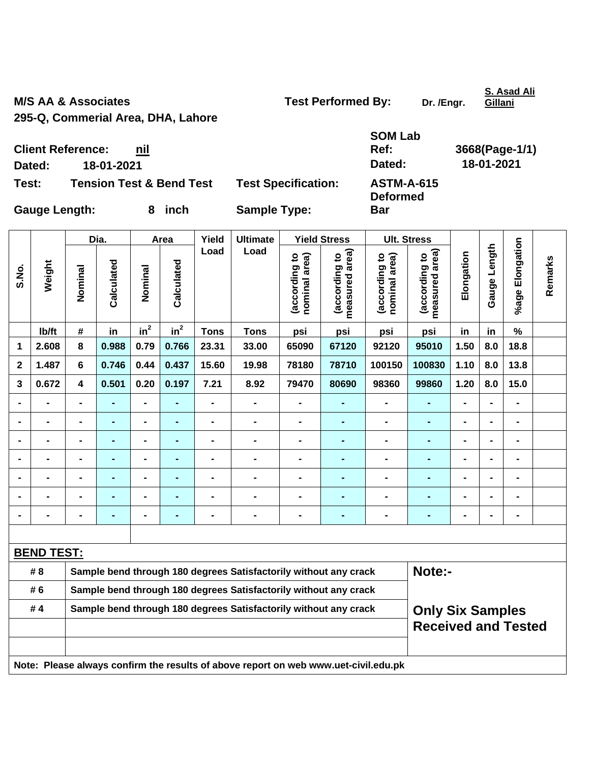M/S AA & Associates **M/S AA & Associates** Test Performed By: Dr. /Engr.

**S. Asad Ali Gillani**

**295-Q, Commerial Area, DHA, Lahore** 

|        |                                     |                            | <b>SOM Lab</b>    |                |
|--------|-------------------------------------|----------------------------|-------------------|----------------|
|        | <b>Client Reference:</b><br>nil     |                            | Ref:              | 3668(Page-1/1) |
| Dated: | 18-01-2021                          |                            | Dated:            | 18-01-2021     |
| Test:  | <b>Tension Test &amp; Bend Test</b> | <b>Test Specification:</b> | <b>ASTM-A-615</b> |                |

**Deformed** 

**Bar** 

**Test: Tension Test & Bend Test Test Specification:** 

Gauge Length: 8 inch Sample Type:

|                |                                                                                     |                | Dia.           |                | Area           | Yield                        | <b>Ultimate</b>                                                  |                                | <b>Yield Stress</b>                         | <b>Ult. Stress</b>             |                                 |                |                |                 |         |
|----------------|-------------------------------------------------------------------------------------|----------------|----------------|----------------|----------------|------------------------------|------------------------------------------------------------------|--------------------------------|---------------------------------------------|--------------------------------|---------------------------------|----------------|----------------|-----------------|---------|
| S.No.          | Weight                                                                              | Nominal        | Calculated     | Nominal        | Calculated     | Load                         | Load                                                             | (according to<br>nominal area) | (according to<br>measured area)<br>measured | nominal area)<br>(according to | measured area)<br>(according to | Elongation     | Gauge Length   | %age Elongation | Remarks |
|                | Ib/ft                                                                               | #              | in             | $in^2$         | $in^2$         | <b>Tons</b>                  | <b>Tons</b>                                                      | psi                            | psi                                         | psi                            | psi                             | in             | in             | $\%$            |         |
| 1              | 2.608                                                                               | 8              | 0.988          | 0.79           | 0.766          | 23.31                        | 33.00                                                            | 65090                          | 67120                                       | 92120                          | 95010                           | 1.50           | 8.0            | 18.8            |         |
| $\mathbf{2}$   | 1.487                                                                               | 6              | 0.746          | 0.44           | 0.437          | 15.60                        | 19.98                                                            | 78180                          | 78710                                       | 100150                         | 100830                          | 1.10           | 8.0            | 13.8            |         |
| 3              | 0.672                                                                               | 4              | 0.501          | 0.20           | 0.197          | 7.21                         | 8.92                                                             | 79470                          | 80690                                       | 98360                          | 99860                           | 1.20           | 8.0            | 15.0            |         |
| $\blacksquare$ | $\blacksquare$                                                                      | $\blacksquare$ | $\blacksquare$ | $\blacksquare$ | $\blacksquare$ | $\qquad \qquad \blacksquare$ | $\blacksquare$                                                   | $\blacksquare$                 | $\blacksquare$                              | $\overline{a}$                 | $\blacksquare$                  | $\blacksquare$ | $\blacksquare$ | $\blacksquare$  |         |
| $\blacksquare$ | $\blacksquare$                                                                      | $\blacksquare$ | ÷,             | $\blacksquare$ | ۰              | $\qquad \qquad \blacksquare$ | $\blacksquare$                                                   | $\blacksquare$                 | $\blacksquare$                              | $\blacksquare$                 | $\blacksquare$                  | $\blacksquare$ | $\blacksquare$ | $\blacksquare$  |         |
|                | $\blacksquare$                                                                      | $\blacksquare$ | ÷,             | $\blacksquare$ | $\blacksquare$ | $\qquad \qquad \blacksquare$ | $\blacksquare$                                                   | $\blacksquare$                 | $\blacksquare$                              | $\blacksquare$                 | $\blacksquare$                  | $\blacksquare$ | $\blacksquare$ | $\blacksquare$  |         |
| $\blacksquare$ | $\blacksquare$                                                                      | $\blacksquare$ | ٠              | $\blacksquare$ | ٠              | $\qquad \qquad \blacksquare$ | $\blacksquare$                                                   | $\blacksquare$                 | $\blacksquare$                              | $\blacksquare$                 | ٠                               | $\blacksquare$ | $\blacksquare$ | $\blacksquare$  |         |
|                |                                                                                     |                |                | $\blacksquare$ | $\blacksquare$ | $\blacksquare$               | $\blacksquare$                                                   | $\blacksquare$                 |                                             |                                |                                 |                |                | $\blacksquare$  |         |
|                |                                                                                     |                |                | $\blacksquare$ |                |                              |                                                                  |                                |                                             |                                |                                 |                |                |                 |         |
|                |                                                                                     | $\blacksquare$ | $\blacksquare$ | $\blacksquare$ | $\blacksquare$ | $\blacksquare$               | $\blacksquare$                                                   | $\blacksquare$                 | $\blacksquare$                              | $\blacksquare$                 | $\blacksquare$                  |                |                | $\blacksquare$  |         |
|                |                                                                                     |                |                |                |                |                              |                                                                  |                                |                                             |                                |                                 |                |                |                 |         |
|                | <b>BEND TEST:</b>                                                                   |                |                |                |                |                              |                                                                  |                                |                                             |                                |                                 |                |                |                 |         |
|                | # 8                                                                                 |                |                |                |                |                              | Sample bend through 180 degrees Satisfactorily without any crack |                                |                                             |                                | Note:-                          |                |                |                 |         |
|                | # 6<br>Sample bend through 180 degrees Satisfactorily without any crack             |                |                |                |                |                              |                                                                  |                                |                                             |                                |                                 |                |                |                 |         |
|                | Sample bend through 180 degrees Satisfactorily without any crack<br>#4              |                |                |                |                |                              | <b>Only Six Samples</b>                                          |                                |                                             |                                |                                 |                |                |                 |         |
|                | <b>Received and Tested</b>                                                          |                |                |                |                |                              |                                                                  |                                |                                             |                                |                                 |                |                |                 |         |
|                | Note: Please always confirm the results of above report on web www.uet-civil.edu.pk |                |                |                |                |                              |                                                                  |                                |                                             |                                |                                 |                |                |                 |         |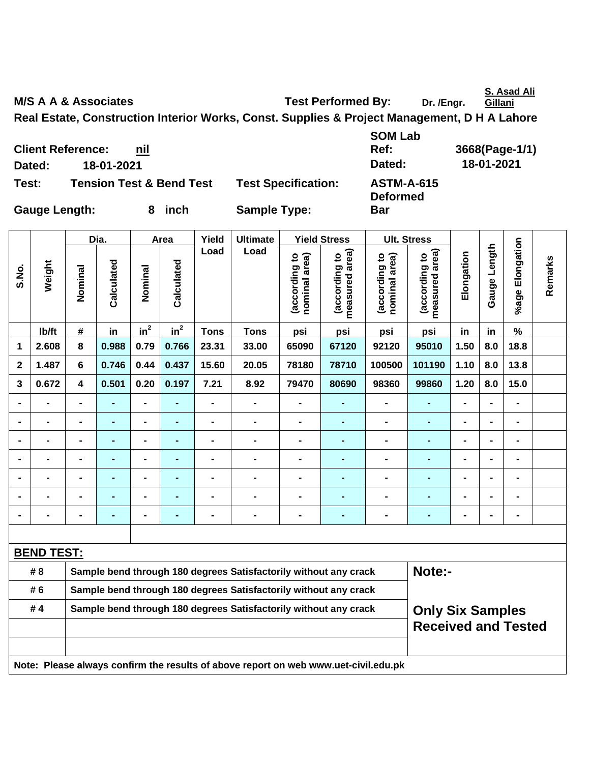**S. Asad Ali Gillani**

٦

M/S A A & Associates **Test Performed By:** Dr. /Engr.

**Bar** 

**Real Estate, Construction Interior Works, Const. Supplies & Project Management, D H A Lahore** 

**Client Reference: nil Dated: 18-01-2021 Dated: 18-01-2021 Test: Tension Test & Bend Test Test Specification: ASTM-A-615** 

**SOM Lab Ref: 3668(Page-1/1) Deformed** 

**Gauge Length: 8 inch Sample Type:** 

|                         |                   | Dia.                                                                                        |                | Area           |                | Yield          | <b>Ultimate</b>                                                                     |                                | <b>Yield Stress</b>             |                                | <b>Ult. Stress</b>              |                |                |                 |         |
|-------------------------|-------------------|---------------------------------------------------------------------------------------------|----------------|----------------|----------------|----------------|-------------------------------------------------------------------------------------|--------------------------------|---------------------------------|--------------------------------|---------------------------------|----------------|----------------|-----------------|---------|
| S.No.                   | Weight            | Nominal                                                                                     | Calculated     | Nominal        | Calculated     | Load           | Load                                                                                | (according to<br>nominal area) | measured area)<br>(according to | nominal area)<br>(according to | measured area)<br>(according to | Elongation     | Gauge Length   | %age Elongation | Remarks |
|                         | lb/ft             | $\#$                                                                                        | in             | $in^2$         | $in^2$         | <b>Tons</b>    | <b>Tons</b>                                                                         | psi                            | psi                             | psi                            | psi                             | in             | in             | $\frac{9}{6}$   |         |
| 1                       | 2.608             | 8                                                                                           | 0.988          | 0.79           | 0.766          | 23.31          | 33.00                                                                               | 65090                          | 67120                           | 92120                          | 95010                           | 1.50           | 8.0            | 18.8            |         |
| $\overline{\mathbf{2}}$ | 1.487             | $6\phantom{1}$                                                                              | 0.746          | 0.44           | 0.437          | 15.60          | 20.05                                                                               | 78180                          | 78710                           | 100500                         | 101190                          | 1.10           | 8.0            | 13.8            |         |
| 3                       | 0.672             | 4                                                                                           | 0.501          | 0.20           | 0.197          | 7.21           | 8.92                                                                                | 79470                          | 80690                           | 98360                          | 99860                           | 1.20           | 8.0            | 15.0            |         |
|                         |                   |                                                                                             |                | $\blacksquare$ |                | $\blacksquare$ | $\blacksquare$                                                                      | $\blacksquare$                 | $\blacksquare$                  |                                |                                 |                |                | $\blacksquare$  |         |
|                         | $\blacksquare$    | $\blacksquare$                                                                              |                | $\blacksquare$ |                | $\blacksquare$ | $\blacksquare$                                                                      | $\blacksquare$                 | $\blacksquare$                  |                                | $\blacksquare$                  |                |                | $\blacksquare$  |         |
|                         | $\blacksquare$    | $\blacksquare$                                                                              | $\blacksquare$ | ä,             | $\blacksquare$ | $\blacksquare$ | $\blacksquare$                                                                      | $\blacksquare$                 | $\blacksquare$                  | $\blacksquare$                 | $\blacksquare$                  | $\blacksquare$ | $\blacksquare$ | $\blacksquare$  |         |
|                         | $\blacksquare$    | $\blacksquare$                                                                              | $\blacksquare$ | $\blacksquare$ | Ē.             | $\blacksquare$ | $\blacksquare$                                                                      | $\blacksquare$                 | $\blacksquare$                  | $\blacksquare$                 | $\blacksquare$                  | $\blacksquare$ |                | $\blacksquare$  |         |
|                         | $\blacksquare$    | $\blacksquare$                                                                              | $\blacksquare$ | $\blacksquare$ |                | $\blacksquare$ | $\blacksquare$                                                                      | $\blacksquare$                 | $\blacksquare$                  |                                | $\blacksquare$                  |                |                | $\blacksquare$  |         |
|                         |                   |                                                                                             |                | $\blacksquare$ |                |                | $\blacksquare$                                                                      | $\blacksquare$                 | $\blacksquare$                  | $\blacksquare$                 | $\blacksquare$                  |                |                | $\blacksquare$  |         |
|                         |                   |                                                                                             |                | -              |                |                |                                                                                     |                                |                                 |                                | ÷                               |                |                | $\blacksquare$  |         |
|                         |                   |                                                                                             |                |                |                |                |                                                                                     |                                |                                 |                                |                                 |                |                |                 |         |
|                         | <b>BEND TEST:</b> |                                                                                             |                |                |                |                |                                                                                     |                                |                                 |                                |                                 |                |                |                 |         |
|                         | # 8               |                                                                                             |                |                |                |                | Sample bend through 180 degrees Satisfactorily without any crack                    |                                |                                 |                                | Note:-                          |                |                |                 |         |
|                         | # 6               | Sample bend through 180 degrees Satisfactorily without any crack                            |                |                |                |                |                                                                                     |                                |                                 |                                |                                 |                |                |                 |         |
|                         | #4                | Sample bend through 180 degrees Satisfactorily without any crack<br><b>Only Six Samples</b> |                |                |                |                |                                                                                     |                                |                                 |                                |                                 |                |                |                 |         |
|                         |                   |                                                                                             |                |                |                |                |                                                                                     |                                |                                 |                                | <b>Received and Tested</b>      |                |                |                 |         |
|                         |                   |                                                                                             |                |                |                |                | Note: Please always confirm the results of above report on web www.uet-civil.edu.pk |                                |                                 |                                |                                 |                |                |                 |         |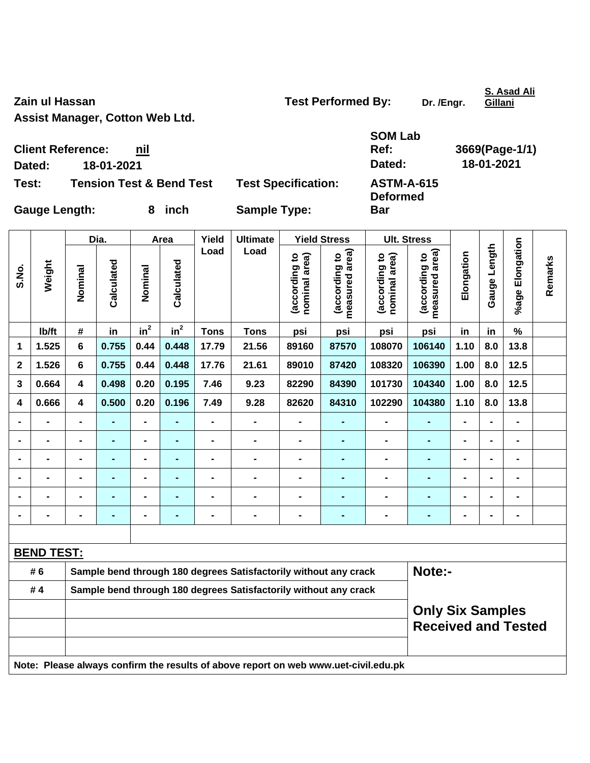**Assist Manager, Cotton Web Ltd.** 

**Zain ul Hassan Contract Contract Contract Contract Contract Contract Contract Contract Contract Contract Contract Contract Contract Contract Contract Contract Contract Contract Contract Contract Contract Contract Contract** 

**Bar** 

**S. Asad Ali Gillani**

 $\overline{\phantom{0}}$ 

**Client Reference: nil Dated: 18-01-2021 Dated: 18-01-2021 Test: Tension Test & Bend Test Test Specification: ASTM-A-615** 

**SOM Lab Ref: 3669(Page-1/1) Deformed** 

**Gauge Length: 8 inch Sample Type:** 

|                |                                                       |                                                                  | Dia.           |                          | Area           | Yield                        | <b>Ultimate</b>                                                                     |                                | <b>Yield Stress</b>                         |                                | <b>Ult. Stress</b>              |                          |                |                 |         |
|----------------|-------------------------------------------------------|------------------------------------------------------------------|----------------|--------------------------|----------------|------------------------------|-------------------------------------------------------------------------------------|--------------------------------|---------------------------------------------|--------------------------------|---------------------------------|--------------------------|----------------|-----------------|---------|
| S.No.          | Weight                                                | Nominal                                                          | Calculated     | Nominal                  | Calculated     | Load                         | Load                                                                                | (according to<br>nominal area) | (according to<br>measured area)<br>measured | nominal area)<br>(according to | measured area)<br>(according to | Elongation               | Gauge Length   | %age Elongation | Remarks |
|                | lb/ft                                                 | #                                                                | in             | in <sup>2</sup>          | $in^2$         | <b>Tons</b>                  | <b>Tons</b>                                                                         | psi                            | psi                                         | psi                            | psi                             | in                       | in             | $\%$            |         |
| 1              | 1.525                                                 | $6\phantom{1}$                                                   | 0.755          | 0.44                     | 0.448          | 17.79                        | 21.56                                                                               | 89160                          | 87570                                       | 108070                         | 106140                          | 1.10                     | 8.0            | 13.8            |         |
| $\mathbf 2$    | 1.526                                                 | 6                                                                | 0.755          | 0.44                     | 0.448          | 17.76                        | 21.61                                                                               | 89010                          | 87420                                       | 108320                         | 106390                          | 1.00                     | 8.0            | 12.5            |         |
| 3              | 0.664                                                 | $\overline{\mathbf{4}}$                                          | 0.498          | 0.20                     | 0.195          | 7.46                         | 9.23                                                                                | 82290                          | 84390                                       | 101730                         | 104340                          | 1.00                     | 8.0            | $12.5$          |         |
| 4              | 0.666                                                 | $\overline{\mathbf{4}}$                                          | 0.500          | 0.20                     | 0.196          | 7.49                         | 9.28                                                                                | 82620                          | 84310                                       | 102290                         | 104380                          | 1.10                     | 8.0            | 13.8            |         |
|                | $\blacksquare$                                        | $\blacksquare$                                                   | $\blacksquare$ | $\overline{\phantom{0}}$ |                | $\overline{a}$               | $\blacksquare$                                                                      | $\blacksquare$                 | $\blacksquare$                              | $\blacksquare$                 | $\blacksquare$                  | $\blacksquare$           |                | $\overline{a}$  |         |
|                | $\blacksquare$                                        | $\blacksquare$                                                   | $\blacksquare$ | $\overline{\phantom{0}}$ | $\blacksquare$ | $\qquad \qquad \blacksquare$ | $\blacksquare$                                                                      | $\blacksquare$                 | $\blacksquare$                              | $\blacksquare$                 | $\blacksquare$                  | $\blacksquare$           |                | $\blacksquare$  |         |
|                | $\blacksquare$                                        |                                                                  | $\blacksquare$ | $\blacksquare$           | $\blacksquare$ | L,                           | $\blacksquare$                                                                      | $\overline{a}$                 | $\blacksquare$                              | $\blacksquare$                 | $\overline{a}$                  | $\overline{\phantom{0}}$ |                | $\blacksquare$  |         |
|                |                                                       |                                                                  |                | $\blacksquare$           |                |                              | $\blacksquare$                                                                      |                                |                                             | $\blacksquare$                 |                                 |                          |                |                 |         |
|                | $\blacksquare$                                        |                                                                  |                | $\blacksquare$           |                |                              | $\blacksquare$                                                                      | $\blacksquare$                 | $\blacksquare$                              |                                | $\blacksquare$                  |                          |                | $\blacksquare$  |         |
| $\blacksquare$ | $\blacksquare$                                        | -                                                                | ÷,             | $\blacksquare$           | $\blacksquare$ | $\blacksquare$               | $\blacksquare$                                                                      | $\blacksquare$                 | $\blacksquare$                              | $\blacksquare$                 | $\blacksquare$                  | $\blacksquare$           | $\blacksquare$ | $\blacksquare$  |         |
|                |                                                       |                                                                  |                |                          |                |                              |                                                                                     |                                |                                             |                                |                                 |                          |                |                 |         |
|                | <b>BEND TEST:</b>                                     |                                                                  |                |                          |                |                              |                                                                                     |                                |                                             |                                |                                 |                          |                |                 |         |
|                | # 6                                                   | Sample bend through 180 degrees Satisfactorily without any crack |                |                          |                |                              |                                                                                     |                                |                                             |                                | Note:-                          |                          |                |                 |         |
|                | #4                                                    | Sample bend through 180 degrees Satisfactorily without any crack |                |                          |                |                              |                                                                                     |                                |                                             |                                |                                 |                          |                |                 |         |
|                | <b>Only Six Samples</b><br><b>Received and Tested</b> |                                                                  |                |                          |                |                              |                                                                                     |                                |                                             |                                |                                 |                          |                |                 |         |
|                |                                                       |                                                                  |                |                          |                |                              | Note: Please always confirm the results of above report on web www.uet-civil.edu.pk |                                |                                             |                                |                                 |                          |                |                 |         |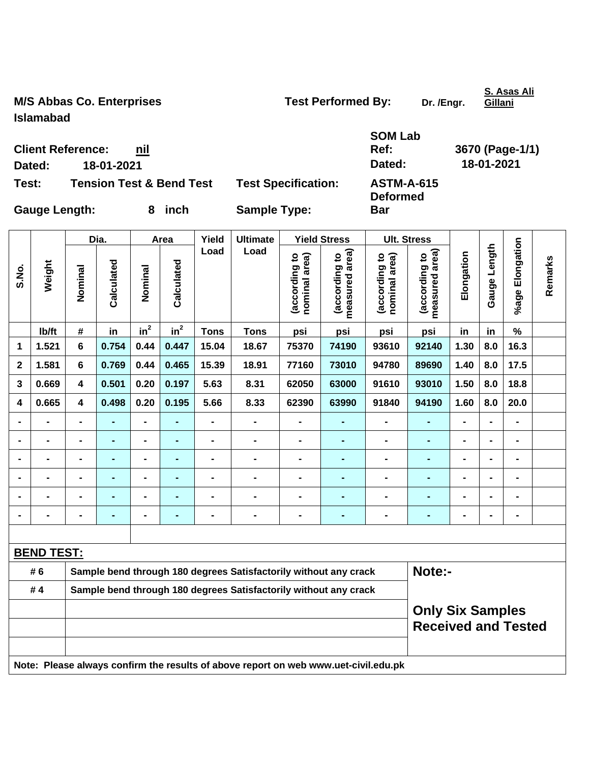M/S Abbas Co. Enterprises **Test Performed By:** Dr. /Engr. **Islamabad** 

**Bar** 

**S. Asas Ali Gillani**

|        | <b>Client Reference:</b><br>nil     |                            | <b>SOM Lab</b><br>Ref:               | 3670 (Page-1/1) |
|--------|-------------------------------------|----------------------------|--------------------------------------|-----------------|
| Dated: | 18-01-2021                          |                            | Dated:                               | 18-01-2021      |
| Test:  | <b>Tension Test &amp; Bend Test</b> | <b>Test Specification:</b> | <b>ASTM-A-615</b><br><b>Deformed</b> |                 |

Gauge Length: 8 inch Sample Type:

|                |                                                                                     |                                                                  | Dia.           |                          | Area            | Yield          | <b>Ultimate</b>                                                  |                                | <b>Yield Stress</b>             | <b>Ult. Stress</b>             |                                 |                |                          |                 |         |
|----------------|-------------------------------------------------------------------------------------|------------------------------------------------------------------|----------------|--------------------------|-----------------|----------------|------------------------------------------------------------------|--------------------------------|---------------------------------|--------------------------------|---------------------------------|----------------|--------------------------|-----------------|---------|
| S.No.          | Weight                                                                              | Nominal                                                          | Calculated     | Nominal                  | Calculated      | Load           | Load                                                             | nominal area)<br>(according to | (according to<br>measured area) | nominal area)<br>(according to | measured area)<br>(according to | Elongation     | Gauge Length             | %age Elongation | Remarks |
|                | lb/ft                                                                               | #                                                                | in             | in <sup>2</sup>          | in <sup>2</sup> | <b>Tons</b>    | <b>Tons</b>                                                      | psi                            | psi                             | psi                            | psi                             | in             | in                       | %               |         |
| 1              | 1.521                                                                               | 6                                                                | 0.754          | 0.44                     | 0.447           | 15.04          | 18.67                                                            | 75370                          | 74190                           | 93610                          | 92140                           | 1.30           | 8.0                      | 16.3            |         |
| $\mathbf 2$    | 1.581                                                                               | $6\phantom{1}$                                                   | 0.769          | 0.44                     | 0.465           | 15.39          | 18.91                                                            | 77160                          | 73010                           | 94780                          | 89690                           | 1.40           | 8.0                      | 17.5            |         |
| 3              | 0.669                                                                               | 4                                                                | 0.501          | 0.20                     | 0.197           | 5.63           | 8.31                                                             | 62050                          | 63000                           | 91610                          | 93010                           | 1.50           | 8.0                      | 18.8            |         |
| 4              | 0.665                                                                               | 4                                                                | 0.498          | 0.20                     | 0.195           | 5.66           | 8.33                                                             | 62390                          | 63990                           | 91840                          | 94190                           | 1.60           | 8.0                      | 20.0            |         |
|                | $\frac{1}{2}$                                                                       | $\blacksquare$                                                   |                | $\overline{\phantom{0}}$ |                 | $\blacksquare$ | $\qquad \qquad \blacksquare$                                     | $\blacksquare$                 | $\blacksquare$                  | $\blacksquare$                 | ۰                               | $\blacksquare$ | $\blacksquare$           | $\blacksquare$  |         |
|                | $\blacksquare$                                                                      | $\blacksquare$                                                   | $\blacksquare$ | $\overline{\phantom{0}}$ | $\blacksquare$  | $\blacksquare$ | $\blacksquare$                                                   | $\blacksquare$                 | $\blacksquare$                  | $\blacksquare$                 | ۰                               | $\blacksquare$ | $\blacksquare$           | -               |         |
|                | $\overline{a}$                                                                      |                                                                  | $\blacksquare$ | $\blacksquare$           | $\blacksquare$  | $\blacksquare$ | $\blacksquare$                                                   | $\blacksquare$                 | $\blacksquare$                  | $\blacksquare$                 | $\blacksquare$                  | $\blacksquare$ | $\blacksquare$           | $\blacksquare$  |         |
|                | -                                                                                   |                                                                  |                | $\blacksquare$           |                 |                | $\blacksquare$                                                   | $\blacksquare$                 |                                 | $\blacksquare$                 |                                 |                | $\blacksquare$           | -               |         |
|                | -                                                                                   |                                                                  |                | $\blacksquare$           |                 | -              | $\blacksquare$                                                   | $\blacksquare$                 | $\blacksquare$                  | $\blacksquare$                 | ÷                               | -              | $\blacksquare$           | -               |         |
| $\blacksquare$ | $\blacksquare$                                                                      | $\blacksquare$                                                   |                | $\blacksquare$           | $\blacksquare$  | $\blacksquare$ | $\blacksquare$                                                   | $\blacksquare$                 | $\blacksquare$                  | $\blacksquare$                 | $\blacksquare$                  | $\blacksquare$ | $\overline{\phantom{0}}$ | -               |         |
|                |                                                                                     |                                                                  |                |                          |                 |                |                                                                  |                                |                                 |                                |                                 |                |                          |                 |         |
|                | <b>BEND TEST:</b>                                                                   |                                                                  |                |                          |                 |                |                                                                  |                                |                                 |                                |                                 |                |                          |                 |         |
|                | # 6                                                                                 |                                                                  |                |                          |                 |                | Sample bend through 180 degrees Satisfactorily without any crack |                                |                                 |                                | Note:-                          |                |                          |                 |         |
|                | #4                                                                                  | Sample bend through 180 degrees Satisfactorily without any crack |                |                          |                 |                |                                                                  |                                |                                 |                                |                                 |                |                          |                 |         |
|                | <b>Only Six Samples</b><br><b>Received and Tested</b>                               |                                                                  |                |                          |                 |                |                                                                  |                                |                                 |                                |                                 |                |                          |                 |         |
|                | Note: Please always confirm the results of above report on web www.uet-civil.edu.pk |                                                                  |                |                          |                 |                |                                                                  |                                |                                 |                                |                                 |                |                          |                 |         |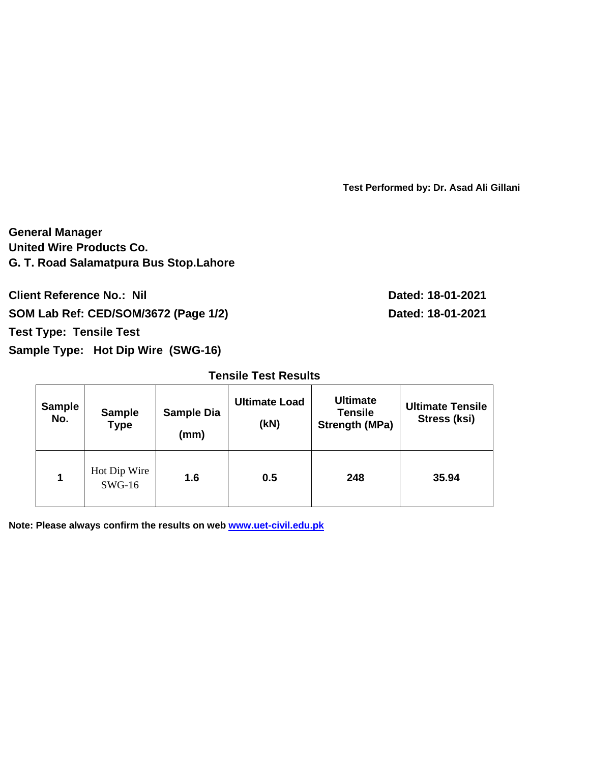**Test Performed by: Dr. Asad Ali Gillani**

**General Manager United Wire Products Co. G. T. Road Salamatpura Bus Stop.Lahore** 

**Client Reference No.: Nil** 2021 SOM Lab Ref: CED/SOM/3672 (Page 1/2) Dated: 18-01-2021

**Test Type: Tensile Test** 

**Sample Type: Hot Dip Wire (SWG-16)** 

**Tensile Test Results** 

| <b>Sample</b><br>No. | <b>Sample Dia</b><br><b>Sample</b><br><b>Type</b><br>(mm) |     | <b>Ultimate Load</b><br>(kN) | <b>Ultimate</b><br><b>Tensile</b><br><b>Strength (MPa)</b> | <b>Ultimate Tensile</b><br>Stress (ksi) |  |
|----------------------|-----------------------------------------------------------|-----|------------------------------|------------------------------------------------------------|-----------------------------------------|--|
| 1                    | Hot Dip Wire<br>$SWG-16$                                  | 1.6 | 0.5                          | 248                                                        | 35.94                                   |  |

**Note: Please always confirm the results on web www.uet-civil.edu.pk**